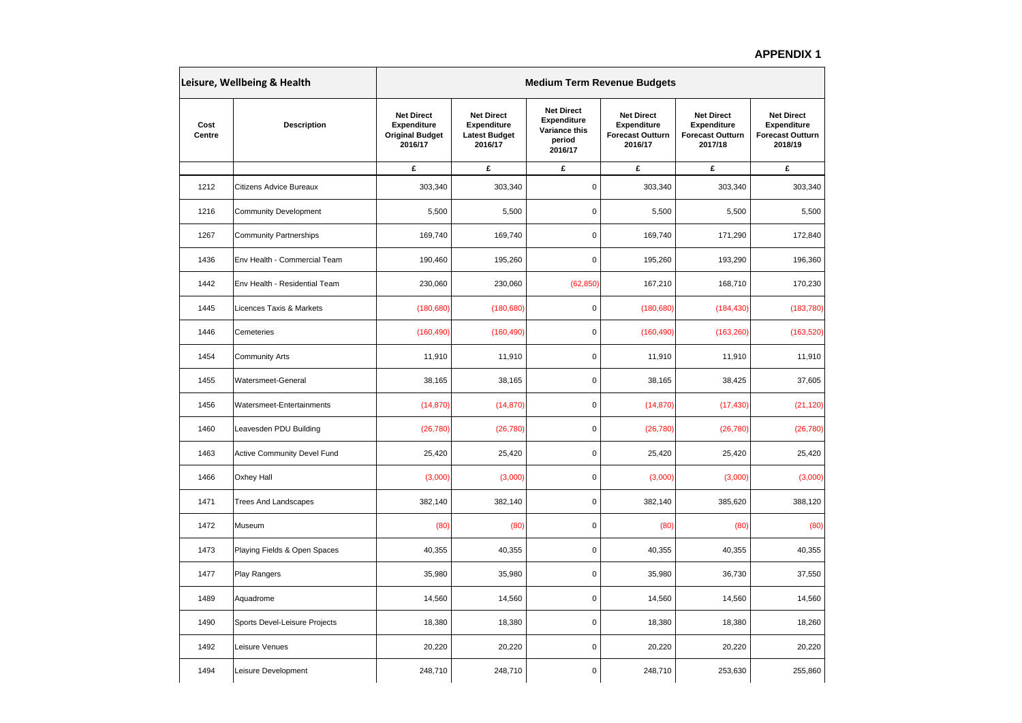## **APPENDIX 1**

| Leisure, Wellbeing & Health |                               | <b>Medium Term Revenue Budgets</b>                                    |                                                                     |                                                                               |                                                                        |                                                                        |                                                                        |  |  |
|-----------------------------|-------------------------------|-----------------------------------------------------------------------|---------------------------------------------------------------------|-------------------------------------------------------------------------------|------------------------------------------------------------------------|------------------------------------------------------------------------|------------------------------------------------------------------------|--|--|
| Cost<br>Centre              | Description                   | <b>Net Direct</b><br>Expenditure<br><b>Original Budget</b><br>2016/17 | <b>Net Direct</b><br>Expenditure<br><b>Latest Budget</b><br>2016/17 | <b>Net Direct</b><br><b>Expenditure</b><br>Variance this<br>period<br>2016/17 | <b>Net Direct</b><br>Expenditure<br><b>Forecast Outturn</b><br>2016/17 | <b>Net Direct</b><br>Expenditure<br><b>Forecast Outturn</b><br>2017/18 | <b>Net Direct</b><br>Expenditure<br><b>Forecast Outturn</b><br>2018/19 |  |  |
|                             |                               | £                                                                     | £                                                                   | £                                                                             | £                                                                      | £                                                                      | £                                                                      |  |  |
| 1212                        | Citizens Advice Bureaux       | 303,340                                                               | 303,340                                                             | 0                                                                             | 303,340                                                                | 303,340                                                                | 303,340                                                                |  |  |
| 1216                        | <b>Community Development</b>  | 5,500                                                                 | 5,500                                                               | 0                                                                             | 5,500                                                                  | 5,500                                                                  | 5,500                                                                  |  |  |
| 1267                        | <b>Community Partnerships</b> | 169,740                                                               | 169,740                                                             | $\mathbf 0$                                                                   | 169,740                                                                | 171,290                                                                | 172,840                                                                |  |  |
| 1436                        | Env Health - Commercial Team  | 190,460                                                               | 195,260                                                             | $\mathbf 0$                                                                   | 195,260                                                                | 193,290                                                                | 196,360                                                                |  |  |
| 1442                        | Env Health - Residential Team | 230,060                                                               | 230,060                                                             | (62, 850)                                                                     | 167,210                                                                | 168,710                                                                | 170,230                                                                |  |  |
| 1445                        | Licences Taxis & Markets      | (180, 680)                                                            | (180, 680)                                                          | $\mathbf 0$                                                                   | (180, 680)                                                             | (184, 430)                                                             | (183, 780)                                                             |  |  |
| 1446                        | Cemeteries                    | (160, 490)                                                            | (160, 490)                                                          | 0                                                                             | (160, 490)                                                             | (163, 260)                                                             | (163, 520)                                                             |  |  |
| 1454                        | <b>Community Arts</b>         | 11,910                                                                | 11,910                                                              | $\mathbf 0$                                                                   | 11,910                                                                 | 11,910                                                                 | 11,910                                                                 |  |  |
| 1455                        | Watersmeet-General            | 38,165                                                                | 38,165                                                              | 0                                                                             | 38,165                                                                 | 38,425                                                                 | 37,605                                                                 |  |  |
| 1456                        | Watersmeet-Entertainments     | (14, 870)                                                             | (14, 870)                                                           | $\mathbf 0$                                                                   | (14, 870)                                                              | (17, 430)                                                              | (21, 120)                                                              |  |  |
| 1460                        | Leavesden PDU Building        | (26, 780)                                                             | (26, 780)                                                           | $\mathbf 0$                                                                   | (26, 780)                                                              | (26, 780)                                                              | (26, 780)                                                              |  |  |
| 1463                        | Active Community Devel Fund   | 25,420                                                                | 25,420                                                              | $\mathbf 0$                                                                   | 25,420                                                                 | 25,420                                                                 | 25,420                                                                 |  |  |
| 1466                        | Oxhey Hall                    | (3,000)                                                               | (3,000)                                                             | 0                                                                             | (3,000)                                                                | (3,000)                                                                | (3,000)                                                                |  |  |
| 1471                        | <b>Trees And Landscapes</b>   | 382,140                                                               | 382,140                                                             | 0                                                                             | 382,140                                                                | 385,620                                                                | 388,120                                                                |  |  |
| 1472                        | Museum                        | (80)                                                                  | (80)                                                                | 0                                                                             | (80)                                                                   | (80)                                                                   | (80)                                                                   |  |  |
| 1473                        | Playing Fields & Open Spaces  | 40,355                                                                | 40,355                                                              | $\mathbf 0$                                                                   | 40,355                                                                 | 40,355                                                                 | 40,355                                                                 |  |  |
| 1477                        | Play Rangers                  | 35,980                                                                | 35,980                                                              | $\mathbf 0$                                                                   | 35,980                                                                 | 36,730                                                                 | 37,550                                                                 |  |  |
| 1489                        | Aquadrome                     | 14,560                                                                | 14,560                                                              | 0                                                                             | 14,560                                                                 | 14,560                                                                 | 14,560                                                                 |  |  |
| 1490                        | Sports Devel-Leisure Projects | 18,380                                                                | 18,380                                                              | $\mathbf 0$                                                                   | 18,380                                                                 | 18,380                                                                 | 18,260                                                                 |  |  |
| 1492                        | Leisure Venues                | 20,220                                                                | 20,220                                                              | 0                                                                             | 20,220                                                                 | 20,220                                                                 | 20,220                                                                 |  |  |
| 1494                        | Leisure Development           | 248,710                                                               | 248,710                                                             | $\mathbf 0$                                                                   | 248,710                                                                | 253,630                                                                | 255,860                                                                |  |  |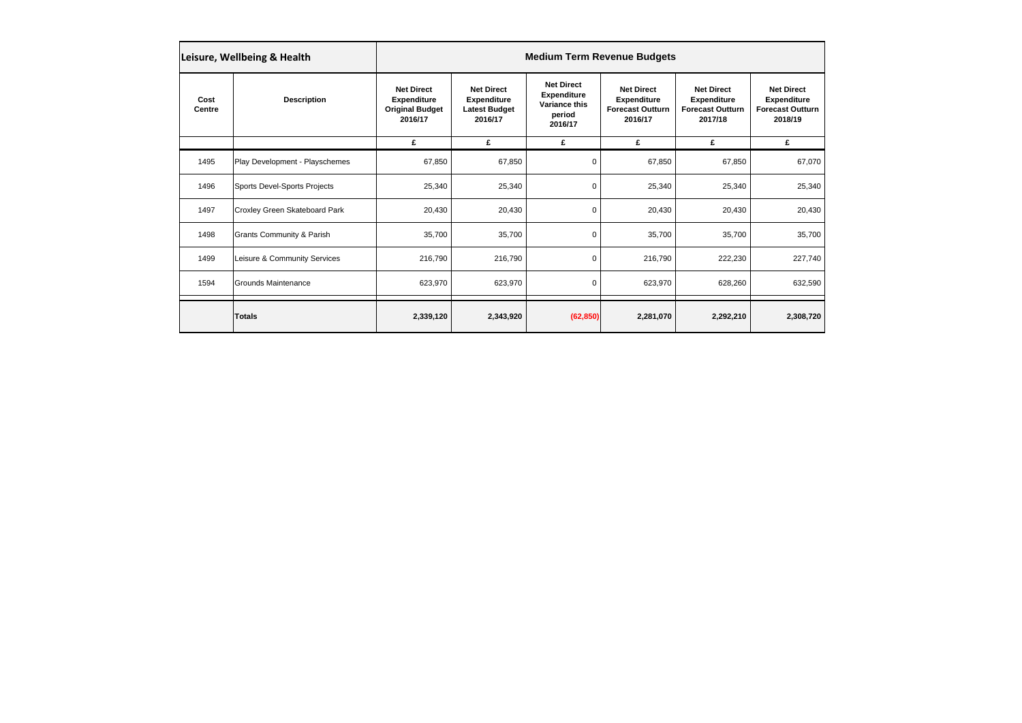| Leisure, Wellbeing & Health |                                      | <b>Medium Term Revenue Budgets</b>                                                                                                                                                                                                                                                                                           |           |                                                                               |                                                                               |           |           |  |  |
|-----------------------------|--------------------------------------|------------------------------------------------------------------------------------------------------------------------------------------------------------------------------------------------------------------------------------------------------------------------------------------------------------------------------|-----------|-------------------------------------------------------------------------------|-------------------------------------------------------------------------------|-----------|-----------|--|--|
| Cost<br>Centre              | <b>Description</b>                   | <b>Net Direct</b><br><b>Net Direct</b><br><b>Net Direct</b><br><b>Net Direct</b><br><b>Expenditure</b><br><b>Expenditure</b><br><b>Expenditure</b><br><b>Expenditure</b><br>Variance this<br><b>Original Budget</b><br><b>Forecast Outturn</b><br><b>Latest Budget</b><br>period<br>2016/17<br>2016/17<br>2016/17<br>2016/17 |           | <b>Net Direct</b><br><b>Expenditure</b><br><b>Forecast Outturn</b><br>2017/18 | <b>Net Direct</b><br><b>Expenditure</b><br><b>Forecast Outturn</b><br>2018/19 |           |           |  |  |
|                             |                                      | £                                                                                                                                                                                                                                                                                                                            | £         | £                                                                             | £                                                                             | £         | £         |  |  |
| 1495                        | Play Development - Playschemes       | 67,850                                                                                                                                                                                                                                                                                                                       | 67,850    | 0                                                                             | 67,850                                                                        | 67,850    | 67,070    |  |  |
| 1496                        | Sports Devel-Sports Projects         | 25,340                                                                                                                                                                                                                                                                                                                       | 25,340    | 0                                                                             | 25,340                                                                        | 25,340    | 25,340    |  |  |
| 1497                        | Croxley Green Skateboard Park        | 20,430                                                                                                                                                                                                                                                                                                                       | 20,430    | 0                                                                             | 20,430                                                                        | 20,430    | 20,430    |  |  |
| 1498                        | <b>Grants Community &amp; Parish</b> | 35,700                                                                                                                                                                                                                                                                                                                       | 35,700    | 0                                                                             | 35,700                                                                        | 35,700    | 35,700    |  |  |
| 1499                        | Leisure & Community Services         | 216,790                                                                                                                                                                                                                                                                                                                      | 216,790   | 0                                                                             | 216,790                                                                       | 222,230   | 227,740   |  |  |
| 1594                        | Grounds Maintenance                  | 623,970                                                                                                                                                                                                                                                                                                                      | 623,970   | 0                                                                             | 623,970                                                                       | 628,260   | 632,590   |  |  |
|                             | <b>Totals</b>                        | 2,339,120                                                                                                                                                                                                                                                                                                                    | 2,343,920 | (62, 850)                                                                     | 2,281,070                                                                     | 2,292,210 | 2,308,720 |  |  |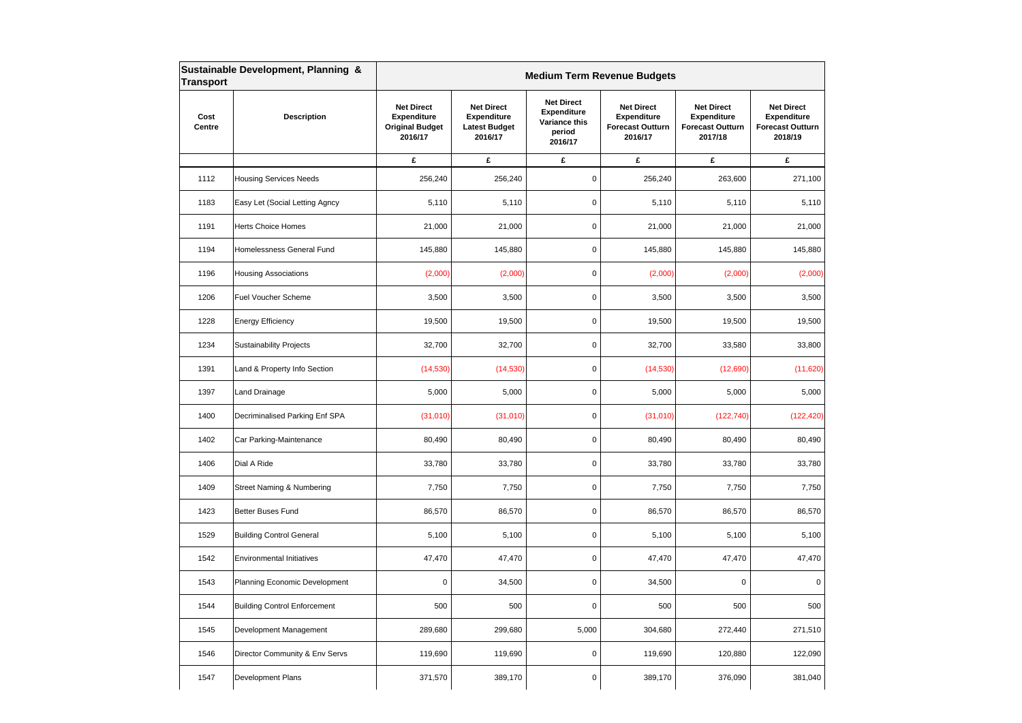| <b>Transport</b> | Sustainable Development, Planning &  | <b>Medium Term Revenue Budgets</b>                                           |                                                                            |                                                                               |                                                                               |                                                                               |                                                                               |  |  |
|------------------|--------------------------------------|------------------------------------------------------------------------------|----------------------------------------------------------------------------|-------------------------------------------------------------------------------|-------------------------------------------------------------------------------|-------------------------------------------------------------------------------|-------------------------------------------------------------------------------|--|--|
| Cost<br>Centre   | <b>Description</b>                   | <b>Net Direct</b><br><b>Expenditure</b><br><b>Original Budget</b><br>2016/17 | <b>Net Direct</b><br><b>Expenditure</b><br><b>Latest Budget</b><br>2016/17 | <b>Net Direct</b><br><b>Expenditure</b><br>Variance this<br>period<br>2016/17 | <b>Net Direct</b><br><b>Expenditure</b><br><b>Forecast Outturn</b><br>2016/17 | <b>Net Direct</b><br><b>Expenditure</b><br><b>Forecast Outturn</b><br>2017/18 | <b>Net Direct</b><br><b>Expenditure</b><br><b>Forecast Outturn</b><br>2018/19 |  |  |
|                  |                                      | £                                                                            | £                                                                          | £                                                                             | £                                                                             | £                                                                             | £                                                                             |  |  |
| 1112             | <b>Housing Services Needs</b>        | 256,240                                                                      | 256,240                                                                    | $\mathbf 0$                                                                   | 256,240                                                                       | 263,600                                                                       | 271,100                                                                       |  |  |
| 1183             | Easy Let (Social Letting Agncy       | 5,110                                                                        | 5,110                                                                      | $\mathsf 0$                                                                   | 5,110                                                                         | 5,110                                                                         | 5,110                                                                         |  |  |
| 1191             | <b>Herts Choice Homes</b>            | 21,000                                                                       | 21,000                                                                     | 0                                                                             | 21,000                                                                        | 21,000                                                                        | 21,000                                                                        |  |  |
| 1194             | Homelessness General Fund            | 145,880                                                                      | 145,880                                                                    | 0                                                                             | 145,880                                                                       | 145,880                                                                       | 145,880                                                                       |  |  |
| 1196             | <b>Housing Associations</b>          | (2,000)                                                                      | (2,000)                                                                    | $\mathsf 0$                                                                   | (2,000)                                                                       | (2,000)                                                                       | (2,000)                                                                       |  |  |
| 1206             | <b>Fuel Voucher Scheme</b>           | 3,500                                                                        | 3,500                                                                      | 0                                                                             | 3,500                                                                         | 3,500                                                                         | 3,500                                                                         |  |  |
| 1228             | <b>Energy Efficiency</b>             | 19,500                                                                       | 19,500                                                                     | $\mathbf 0$                                                                   | 19,500                                                                        | 19,500                                                                        | 19,500                                                                        |  |  |
| 1234             | <b>Sustainability Projects</b>       | 32,700                                                                       | 32,700                                                                     | 0                                                                             | 32,700                                                                        | 33,580                                                                        | 33,800                                                                        |  |  |
| 1391             | Land & Property Info Section         | (14, 530)                                                                    | (14, 530)                                                                  | $\mathsf 0$                                                                   | (14, 530)                                                                     | (12,690)                                                                      | (11,620)                                                                      |  |  |
| 1397             | Land Drainage                        | 5,000                                                                        | 5,000                                                                      | $\mathsf 0$                                                                   | 5,000                                                                         | 5,000                                                                         | 5,000                                                                         |  |  |
| 1400             | Decriminalised Parking Enf SPA       | (31,010)                                                                     | (31,010)                                                                   | 0                                                                             | (31,010)                                                                      | (122, 740)                                                                    | (122, 420)                                                                    |  |  |
| 1402             | Car Parking-Maintenance              | 80,490                                                                       | 80,490                                                                     | 0                                                                             | 80,490                                                                        | 80,490                                                                        | 80,490                                                                        |  |  |
| 1406             | Dial A Ride                          | 33,780                                                                       | 33,780                                                                     | 0                                                                             | 33,780                                                                        | 33,780                                                                        | 33,780                                                                        |  |  |
| 1409             | <b>Street Naming &amp; Numbering</b> | 7,750                                                                        | 7,750                                                                      | $\mathsf 0$                                                                   | 7,750                                                                         | 7,750                                                                         | 7,750                                                                         |  |  |
| 1423             | Better Buses Fund                    | 86,570                                                                       | 86,570                                                                     | $\mathsf 0$                                                                   | 86,570                                                                        | 86,570                                                                        | 86,570                                                                        |  |  |
| 1529             | <b>Building Control General</b>      | 5,100                                                                        | 5,100                                                                      | 0                                                                             | 5,100                                                                         | 5,100                                                                         | 5,100                                                                         |  |  |
| 1542             | <b>Environmental Initiatives</b>     | 47,470                                                                       | 47,470                                                                     | 0                                                                             | 47,470                                                                        | 47,470                                                                        | 47,470                                                                        |  |  |
| 1543             | Planning Economic Development        | $\mathbf 0$                                                                  | 34,500                                                                     | 0                                                                             | 34,500                                                                        | 0                                                                             | $\mathbf 0$                                                                   |  |  |
| 1544             | <b>Building Control Enforcement</b>  | 500                                                                          | 500                                                                        | 0                                                                             | 500                                                                           | 500                                                                           | 500                                                                           |  |  |
| 1545             | Development Management               | 289,680                                                                      | 299,680                                                                    | 5,000                                                                         | 304,680                                                                       | 272,440                                                                       | 271,510                                                                       |  |  |
| 1546             | Director Community & Env Servs       | 119,690                                                                      | 119,690                                                                    | $\pmb{0}$                                                                     | 119,690                                                                       | 120,880                                                                       | 122,090                                                                       |  |  |
| 1547             | <b>Development Plans</b>             | 371,570                                                                      | 389,170                                                                    | 0                                                                             | 389,170                                                                       | 376,090                                                                       | 381,040                                                                       |  |  |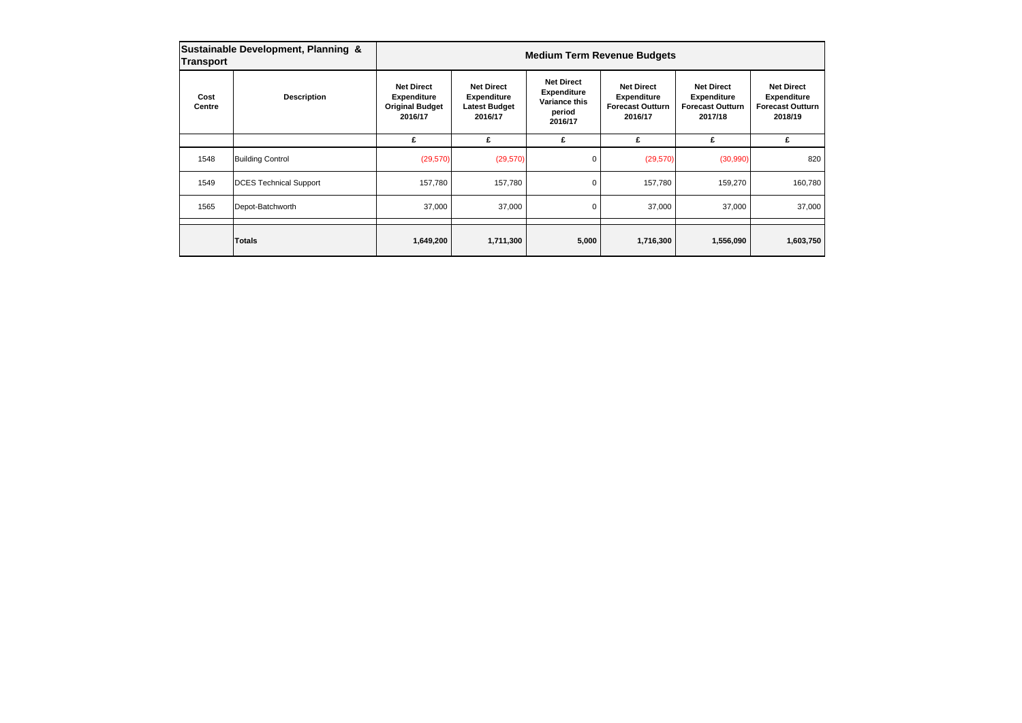| Sustainable Development, Planning &<br>Transport |                               | <b>Medium Term Revenue Budgets</b>                                                                                                                                                                                                                                                                                           |           |                                                                               |                                                                               |           |           |  |
|--------------------------------------------------|-------------------------------|------------------------------------------------------------------------------------------------------------------------------------------------------------------------------------------------------------------------------------------------------------------------------------------------------------------------------|-----------|-------------------------------------------------------------------------------|-------------------------------------------------------------------------------|-----------|-----------|--|
| Cost<br>Centre                                   | <b>Description</b>            | <b>Net Direct</b><br><b>Net Direct</b><br><b>Net Direct</b><br><b>Net Direct</b><br><b>Expenditure</b><br><b>Expenditure</b><br><b>Expenditure</b><br><b>Expenditure</b><br>Variance this<br><b>Original Budget</b><br><b>Forecast Outturn</b><br><b>Latest Budget</b><br>period<br>2016/17<br>2016/17<br>2016/17<br>2016/17 |           | <b>Net Direct</b><br><b>Expenditure</b><br><b>Forecast Outturn</b><br>2017/18 | <b>Net Direct</b><br><b>Expenditure</b><br><b>Forecast Outturn</b><br>2018/19 |           |           |  |
|                                                  |                               | £                                                                                                                                                                                                                                                                                                                            | £         | £                                                                             | £                                                                             | £         | £         |  |
| 1548                                             | <b>Building Control</b>       | (29, 570)                                                                                                                                                                                                                                                                                                                    | (29, 570) | 0                                                                             | (29, 570)                                                                     | (30,990)  | 820       |  |
| 1549                                             | <b>DCES Technical Support</b> | 157,780                                                                                                                                                                                                                                                                                                                      | 157,780   | 0                                                                             | 157,780                                                                       | 159,270   | 160,780   |  |
| 1565                                             | Depot-Batchworth              | 37,000                                                                                                                                                                                                                                                                                                                       | 37,000    | 0                                                                             | 37,000                                                                        | 37,000    | 37,000    |  |
|                                                  | Totals                        | 1,649,200                                                                                                                                                                                                                                                                                                                    | 1,711,300 | 5,000                                                                         | 1,716,300                                                                     | 1,556,090 | 1,603,750 |  |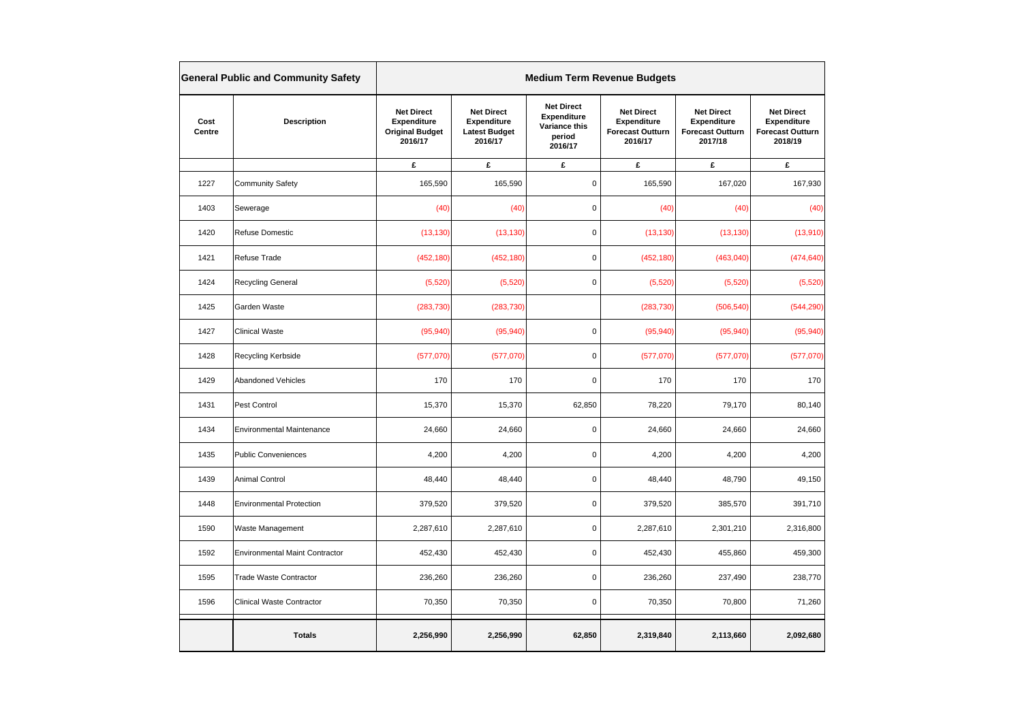|                | <b>General Public and Community Safety</b> | <b>Medium Term Revenue Budgets</b>                                    |                                                                     |                                                                        |                                                                        |                                                                        |                                                                        |  |
|----------------|--------------------------------------------|-----------------------------------------------------------------------|---------------------------------------------------------------------|------------------------------------------------------------------------|------------------------------------------------------------------------|------------------------------------------------------------------------|------------------------------------------------------------------------|--|
| Cost<br>Centre | <b>Description</b>                         | <b>Net Direct</b><br>Expenditure<br><b>Original Budget</b><br>2016/17 | <b>Net Direct</b><br>Expenditure<br><b>Latest Budget</b><br>2016/17 | <b>Net Direct</b><br>Expenditure<br>Variance this<br>period<br>2016/17 | <b>Net Direct</b><br>Expenditure<br><b>Forecast Outturn</b><br>2016/17 | <b>Net Direct</b><br>Expenditure<br><b>Forecast Outturn</b><br>2017/18 | <b>Net Direct</b><br>Expenditure<br><b>Forecast Outturn</b><br>2018/19 |  |
|                |                                            | £                                                                     | £                                                                   | £                                                                      | £                                                                      | £                                                                      | £                                                                      |  |
| 1227           | <b>Community Safety</b>                    | 165,590                                                               | 165,590                                                             | $\pmb{0}$                                                              | 165,590                                                                | 167,020                                                                | 167,930                                                                |  |
| 1403           | Sewerage                                   | (40)                                                                  | (40)                                                                | $\pmb{0}$                                                              | (40)                                                                   | (40)                                                                   | (40)                                                                   |  |
| 1420           | Refuse Domestic                            | (13, 130)                                                             | (13, 130)                                                           | $\mathsf 0$                                                            | (13, 130)                                                              | (13, 130)                                                              | (13,910)                                                               |  |
| 1421           | Refuse Trade                               | (452, 180)                                                            | (452, 180)                                                          | $\mathbf 0$                                                            | (452, 180)                                                             | (463,040)                                                              | (474, 640)                                                             |  |
| 1424           | Recycling General                          | (5, 520)                                                              | (5,520)                                                             | $\mathbf 0$                                                            | (5, 520)                                                               | (5,520)                                                                | (5,520)                                                                |  |
| 1425           | Garden Waste                               | (283, 730)                                                            | (283, 730)                                                          |                                                                        | (283, 730)                                                             | (506, 540)                                                             | (544, 290)                                                             |  |
| 1427           | Clinical Waste                             | (95, 940)                                                             | (95, 940)                                                           | $\mathsf 0$                                                            | (95, 940)                                                              | (95, 940)                                                              | (95, 940)                                                              |  |
| 1428           | Recycling Kerbside                         | (577,070)                                                             | (577,070)                                                           | $\mathsf 0$                                                            | (577,070)                                                              | (577,070)                                                              | (577,070)                                                              |  |
| 1429           | <b>Abandoned Vehicles</b>                  | 170                                                                   | 170                                                                 | $\mathbf 0$                                                            | 170                                                                    | 170                                                                    | 170                                                                    |  |
| 1431           | Pest Control                               | 15,370                                                                | 15,370                                                              | 62,850                                                                 | 78,220                                                                 | 79,170                                                                 | 80,140                                                                 |  |
| 1434           | <b>Environmental Maintenance</b>           | 24,660                                                                | 24,660                                                              | $\mathbf 0$                                                            | 24,660                                                                 | 24,660                                                                 | 24,660                                                                 |  |
| 1435           | <b>Public Conveniences</b>                 | 4,200                                                                 | 4,200                                                               | $\mathsf 0$                                                            | 4,200                                                                  | 4,200                                                                  | 4,200                                                                  |  |
| 1439           | <b>Animal Control</b>                      | 48,440                                                                | 48,440                                                              | $\mathbf 0$                                                            | 48,440                                                                 | 48,790                                                                 | 49,150                                                                 |  |
| 1448           | <b>Environmental Protection</b>            | 379,520                                                               | 379,520                                                             | $\mathsf 0$                                                            | 379,520                                                                | 385,570                                                                | 391,710                                                                |  |
| 1590           | Waste Management                           | 2,287,610                                                             | 2,287,610                                                           | $\mathbf 0$                                                            | 2,287,610                                                              | 2,301,210                                                              | 2,316,800                                                              |  |
| 1592           | <b>Environmental Maint Contractor</b>      | 452,430                                                               | 452,430                                                             | $\mathbf 0$                                                            | 452,430                                                                | 455,860                                                                | 459,300                                                                |  |
| 1595           | <b>Trade Waste Contractor</b>              | 236,260                                                               | 236,260                                                             | $\mathbf 0$                                                            | 236,260                                                                | 237,490                                                                | 238,770                                                                |  |
| 1596           | <b>Clinical Waste Contractor</b>           | 70,350                                                                | 70,350                                                              | $\pmb{0}$                                                              | 70,350                                                                 | 70,800                                                                 | 71,260                                                                 |  |
|                | <b>Totals</b>                              | 2,256,990                                                             | 2,256,990                                                           | 62,850                                                                 | 2,319,840                                                              | 2,113,660                                                              | 2,092,680                                                              |  |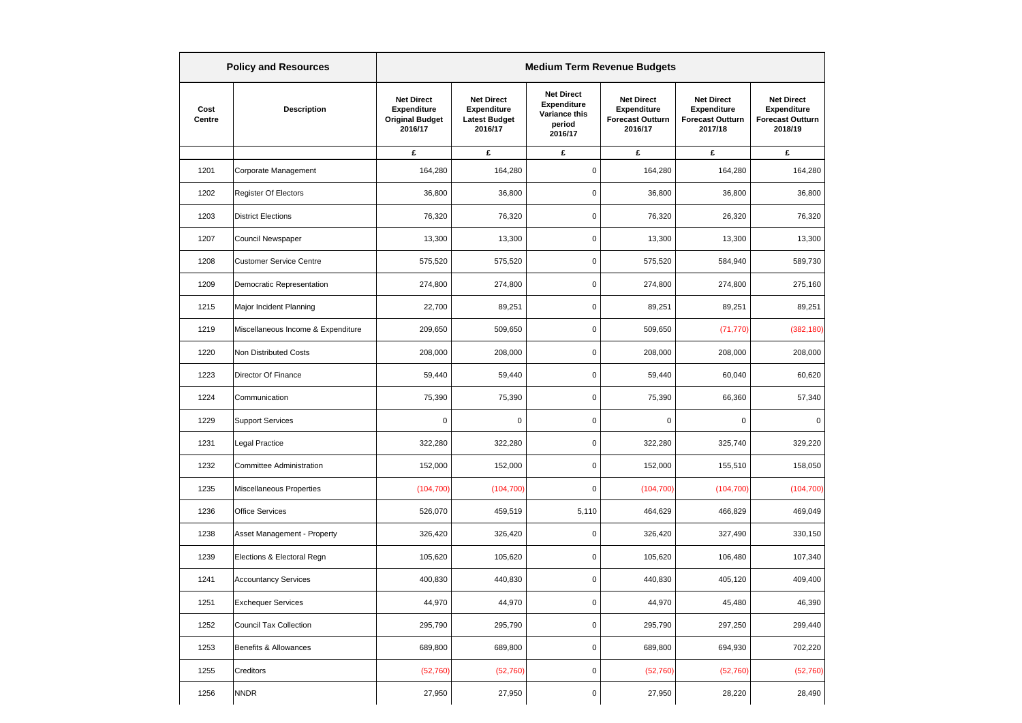|                | <b>Policy and Resources</b>        | <b>Medium Term Revenue Budgets</b> |                                                                       |                                                                     |                                                                               |                                                                        |                                                                               |                                                                        |  |
|----------------|------------------------------------|------------------------------------|-----------------------------------------------------------------------|---------------------------------------------------------------------|-------------------------------------------------------------------------------|------------------------------------------------------------------------|-------------------------------------------------------------------------------|------------------------------------------------------------------------|--|
| Cost<br>Centre | <b>Description</b>                 |                                    | <b>Net Direct</b><br>Expenditure<br><b>Original Budget</b><br>2016/17 | <b>Net Direct</b><br>Expenditure<br><b>Latest Budget</b><br>2016/17 | <b>Net Direct</b><br><b>Expenditure</b><br>Variance this<br>period<br>2016/17 | <b>Net Direct</b><br>Expenditure<br><b>Forecast Outturn</b><br>2016/17 | <b>Net Direct</b><br><b>Expenditure</b><br><b>Forecast Outturn</b><br>2017/18 | <b>Net Direct</b><br>Expenditure<br><b>Forecast Outturn</b><br>2018/19 |  |
|                |                                    | £                                  | £                                                                     | £                                                                   | £                                                                             | £                                                                      | £                                                                             |                                                                        |  |
| 1201           | Corporate Management               | 164,280                            | 164,280                                                               | 0                                                                   | 164,280                                                                       | 164,280                                                                | 164,280                                                                       |                                                                        |  |
| 1202           | <b>Register Of Electors</b>        | 36,800                             | 36,800                                                                | $\mathsf 0$                                                         | 36,800                                                                        | 36,800                                                                 | 36,800                                                                        |                                                                        |  |
| 1203           | <b>District Elections</b>          | 76,320                             | 76,320                                                                | 0                                                                   | 76,320                                                                        | 26,320                                                                 | 76,320                                                                        |                                                                        |  |
| 1207           | Council Newspaper                  | 13,300                             | 13,300                                                                | $\mathsf 0$                                                         | 13,300                                                                        | 13,300                                                                 | 13,300                                                                        |                                                                        |  |
| 1208           | <b>Customer Service Centre</b>     | 575,520                            | 575,520                                                               | $\mathbf 0$                                                         | 575,520                                                                       | 584,940                                                                | 589,730                                                                       |                                                                        |  |
| 1209           | Democratic Representation          | 274,800                            | 274,800                                                               | $\mathsf 0$                                                         | 274,800                                                                       | 274,800                                                                | 275,160                                                                       |                                                                        |  |
| 1215           | Major Incident Planning            | 22,700                             | 89,251                                                                | $\mathbf 0$                                                         | 89,251                                                                        | 89,251                                                                 | 89,251                                                                        |                                                                        |  |
| 1219           | Miscellaneous Income & Expenditure | 209,650                            | 509,650                                                               | $\mathsf 0$                                                         | 509,650                                                                       | (71, 770)                                                              | (382, 180)                                                                    |                                                                        |  |
| 1220           | Non Distributed Costs              | 208,000                            | 208,000                                                               | 0                                                                   | 208,000                                                                       | 208,000                                                                | 208,000                                                                       |                                                                        |  |
| 1223           | Director Of Finance                | 59,440                             | 59,440                                                                | $\mathsf 0$                                                         | 59,440                                                                        | 60,040                                                                 | 60,620                                                                        |                                                                        |  |
| 1224           | Communication                      | 75,390                             | 75,390                                                                | $\mathsf 0$                                                         | 75,390                                                                        | 66,360                                                                 | 57,340                                                                        |                                                                        |  |
| 1229           | <b>Support Services</b>            | $\mathbf 0$                        | $\pmb{0}$                                                             | $\mathsf 0$                                                         | $\mathbf 0$                                                                   | 0                                                                      | 0                                                                             |                                                                        |  |
| 1231           | Legal Practice                     | 322,280                            | 322,280                                                               | $\pmb{0}$                                                           | 322,280                                                                       | 325,740                                                                | 329,220                                                                       |                                                                        |  |
| 1232           | <b>Committee Administration</b>    | 152,000                            | 152,000                                                               | 0                                                                   | 152,000                                                                       | 155,510                                                                | 158,050                                                                       |                                                                        |  |
| 1235           | Miscellaneous Properties           | (104, 700)                         | (104, 700)                                                            | $\mathbf 0$                                                         | (104, 700)                                                                    | (104, 700)                                                             | (104, 700)                                                                    |                                                                        |  |
| 1236           | <b>Office Services</b>             | 526,070                            | 459,519                                                               | 5,110                                                               | 464,629                                                                       | 466,829                                                                | 469,049                                                                       |                                                                        |  |
| 1238           | Asset Management - Property        | 326,420                            | 326,420                                                               | $\mathbf 0$                                                         | 326,420                                                                       | 327,490                                                                | 330,150                                                                       |                                                                        |  |
| 1239           | Elections & Electoral Regn         | 105,620                            | 105,620                                                               | $\mathsf 0$                                                         | 105,620                                                                       | 106,480                                                                | 107,340                                                                       |                                                                        |  |
| 1241           | <b>Accountancy Services</b>        | 400,830                            | 440,830                                                               | 0                                                                   | 440,830                                                                       | 405,120                                                                | 409,400                                                                       |                                                                        |  |
| 1251           | <b>Exchequer Services</b>          | 44,970                             | 44,970                                                                | $\mathsf 0$                                                         | 44,970                                                                        | 45,480                                                                 | 46,390                                                                        |                                                                        |  |
| 1252           | <b>Council Tax Collection</b>      | 295,790                            | 295,790                                                               | $\mathsf 0$                                                         | 295,790                                                                       | 297,250                                                                | 299,440                                                                       |                                                                        |  |
| 1253           | Benefits & Allowances              | 689,800                            | 689,800                                                               | $\mathbf 0$                                                         | 689,800                                                                       | 694,930                                                                | 702,220                                                                       |                                                                        |  |
| 1255           | Creditors                          | (52, 760)                          | (52,760)                                                              | $\mathbf 0$                                                         | (52,760)                                                                      | (52,760)                                                               | (52, 760)                                                                     |                                                                        |  |
| 1256           | <b>NNDR</b>                        | 27,950                             | 27,950                                                                | $\mathsf 0$                                                         | 27,950                                                                        | 28,220                                                                 | 28,490                                                                        |                                                                        |  |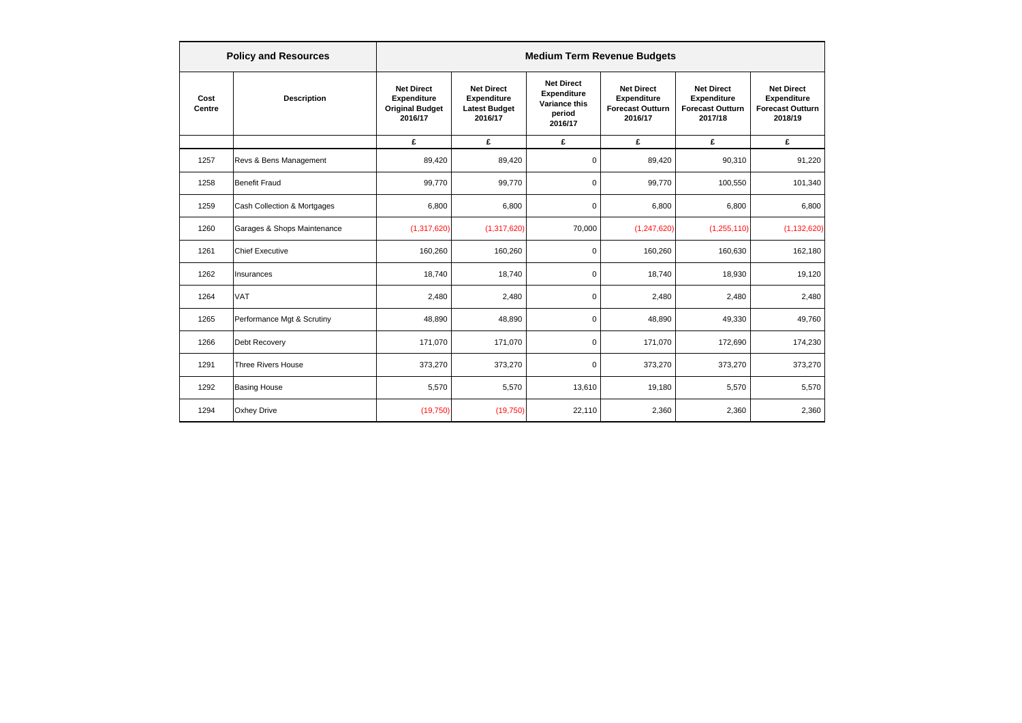|                | <b>Policy and Resources</b> | <b>Medium Term Revenue Budgets</b>                                    |                                                                     |                                                                               |                                                                               |                                                                        |                                                                        |  |  |
|----------------|-----------------------------|-----------------------------------------------------------------------|---------------------------------------------------------------------|-------------------------------------------------------------------------------|-------------------------------------------------------------------------------|------------------------------------------------------------------------|------------------------------------------------------------------------|--|--|
| Cost<br>Centre | <b>Description</b>          | <b>Net Direct</b><br>Expenditure<br><b>Original Budget</b><br>2016/17 | <b>Net Direct</b><br>Expenditure<br><b>Latest Budget</b><br>2016/17 | <b>Net Direct</b><br><b>Expenditure</b><br>Variance this<br>period<br>2016/17 | <b>Net Direct</b><br><b>Expenditure</b><br><b>Forecast Outturn</b><br>2016/17 | <b>Net Direct</b><br>Expenditure<br><b>Forecast Outturn</b><br>2017/18 | <b>Net Direct</b><br>Expenditure<br><b>Forecast Outturn</b><br>2018/19 |  |  |
|                |                             | £                                                                     | £                                                                   | £                                                                             | £                                                                             | £                                                                      | £                                                                      |  |  |
| 1257           | Revs & Bens Management      | 89,420                                                                | 89,420                                                              | $\mathbf 0$                                                                   | 89,420                                                                        | 90,310                                                                 | 91,220                                                                 |  |  |
| 1258           | <b>Benefit Fraud</b>        | 99,770                                                                | 99,770                                                              | $\mathbf 0$                                                                   | 99,770                                                                        | 100,550                                                                | 101,340                                                                |  |  |
| 1259           | Cash Collection & Mortgages | 6,800                                                                 | 6,800                                                               | $\mathbf 0$                                                                   | 6,800                                                                         | 6,800                                                                  | 6,800                                                                  |  |  |
| 1260           | Garages & Shops Maintenance | (1,317,620)                                                           | (1,317,620)                                                         | 70,000                                                                        | (1, 247, 620)                                                                 | (1,255,110)                                                            | (1, 132, 620)                                                          |  |  |
| 1261           | <b>Chief Executive</b>      | 160,260                                                               | 160,260                                                             | $\mathbf 0$                                                                   | 160,260                                                                       | 160,630                                                                | 162,180                                                                |  |  |
| 1262           | Insurances                  | 18,740                                                                | 18,740                                                              | $\mathbf 0$                                                                   | 18,740                                                                        | 18,930                                                                 | 19,120                                                                 |  |  |
| 1264           | <b>VAT</b>                  | 2,480                                                                 | 2,480                                                               | $\mathbf 0$                                                                   | 2,480                                                                         | 2,480                                                                  | 2,480                                                                  |  |  |
| 1265           | Performance Mgt & Scrutiny  | 48,890                                                                | 48,890                                                              | $\mathbf 0$                                                                   | 48,890                                                                        | 49,330                                                                 | 49,760                                                                 |  |  |
| 1266           | <b>Debt Recovery</b>        | 171,070                                                               | 171,070                                                             | $\mathbf 0$                                                                   | 171,070                                                                       | 172,690                                                                | 174,230                                                                |  |  |
| 1291           | <b>Three Rivers House</b>   | 373,270                                                               | 373,270                                                             | $\mathbf 0$                                                                   | 373,270                                                                       | 373,270                                                                | 373,270                                                                |  |  |
| 1292           | <b>Basing House</b>         | 5,570                                                                 | 5,570                                                               | 13,610                                                                        | 19,180                                                                        | 5,570                                                                  | 5,570                                                                  |  |  |
| 1294           | <b>Oxhey Drive</b>          | (19,750)                                                              | (19,750)                                                            | 22,110                                                                        | 2,360                                                                         | 2,360                                                                  | 2,360                                                                  |  |  |